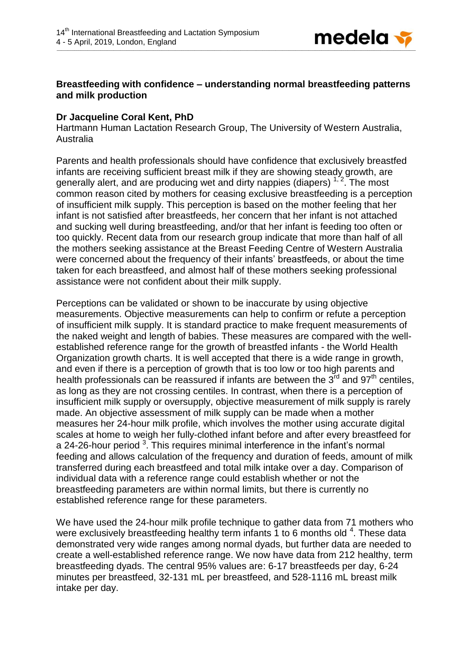

## **Breastfeeding with confidence – understanding normal breastfeeding patterns and milk production**

## **Dr Jacqueline Coral Kent, PhD**

Hartmann Human Lactation Research Group, The University of Western Australia, Australia

Parents and health professionals should have confidence that exclusively breastfed infants are receiving sufficient breast milk if they are showing steady growth, are generally alert, and are producing wet and dirty nappies (diapers)  $1/2$ . The most common reason cited by mothers for ceasing exclusive breastfeeding is a perception of insufficient milk supply. This perception is based on the mother feeling that her infant is not satisfied after breastfeeds, her concern that her infant is not attached and sucking well during breastfeeding, and/or that her infant is feeding too often or too quickly. Recent data from our research group indicate that more than half of all the mothers seeking assistance at the Breast Feeding Centre of Western Australia were concerned about the frequency of their infants' breastfeeds, or about the time taken for each breastfeed, and almost half of these mothers seeking professional assistance were not confident about their milk supply.

Perceptions can be validated or shown to be inaccurate by using objective measurements. Objective measurements can help to confirm or refute a perception of insufficient milk supply. It is standard practice to make frequent measurements of the naked weight and length of babies. These measures are compared with the wellestablished reference range for the growth of breastfed infants - the World Health Organization growth charts. It is well accepted that there is a wide range in growth, and even if there is a perception of growth that is too low or too high parents and health professionals can be reassured if infants are between the  $3<sup>rd</sup>$  and  $97<sup>th</sup>$  centiles, as long as they are not crossing centiles. In contrast, when there is a perception of insufficient milk supply or oversupply, objective measurement of milk supply is rarely made. An objective assessment of milk supply can be made when a mother measures her 24-hour milk profile, which involves the mother using accurate digital scales at home to weigh her fully-clothed infant before and after every breastfeed for a 24-26-hour period  $3$ . This requires minimal interference in the infant's normal feeding and allows calculation of the frequency and duration of feeds, amount of milk transferred during each breastfeed and total milk intake over a day. Comparison of individual data with a reference range could establish whether or not the breastfeeding parameters are within normal limits, but there is currently no established reference range for these parameters.

We have used the 24-hour milk profile technique to gather data from 71 mothers who were exclusively breastfeeding healthy term infants  $1$  to 6 months old  $4$ . These data demonstrated very wide ranges among normal dyads, but further data are needed to create a well-established reference range. We now have data from 212 healthy, term breastfeeding dyads. The central 95% values are: 6-17 breastfeeds per day, 6-24 minutes per breastfeed, 32-131 mL per breastfeed, and 528-1116 mL breast milk intake per day.